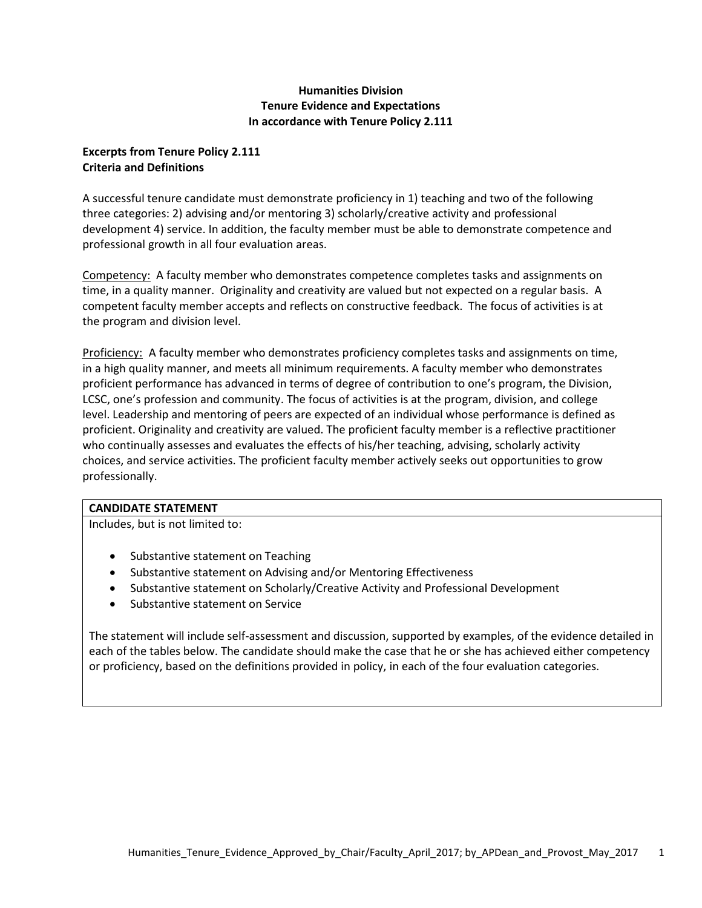# **Humanities Division Tenure Evidence and Expectations In accordance with Tenure Policy 2.111**

## **Excerpts from Tenure Policy 2.111 Criteria and Definitions**

A successful tenure candidate must demonstrate proficiency in 1) teaching and two of the following three categories: 2) advising and/or mentoring 3) scholarly/creative activity and professional development 4) service. In addition, the faculty member must be able to demonstrate competence and professional growth in all four evaluation areas.

Competency: A faculty member who demonstrates competence completes tasks and assignments on time, in a quality manner. Originality and creativity are valued but not expected on a regular basis. A competent faculty member accepts and reflects on constructive feedback. The focus of activities is at the program and division level.

Proficiency: A faculty member who demonstrates proficiency completes tasks and assignments on time, in a high quality manner, and meets all minimum requirements. A faculty member who demonstrates proficient performance has advanced in terms of degree of contribution to one's program, the Division, LCSC, one's profession and community. The focus of activities is at the program, division, and college level. Leadership and mentoring of peers are expected of an individual whose performance is defined as proficient. Originality and creativity are valued. The proficient faculty member is a reflective practitioner who continually assesses and evaluates the effects of his/her teaching, advising, scholarly activity choices, and service activities. The proficient faculty member actively seeks out opportunities to grow professionally.

## **CANDIDATE STATEMENT**

Includes, but is not limited to:

- Substantive statement on Teaching
- Substantive statement on Advising and/or Mentoring Effectiveness
- Substantive statement on Scholarly/Creative Activity and Professional Development
- Substantive statement on Service

The statement will include self-assessment and discussion, supported by examples, of the evidence detailed in each of the tables below. The candidate should make the case that he or she has achieved either competency or proficiency, based on the definitions provided in policy, in each of the four evaluation categories.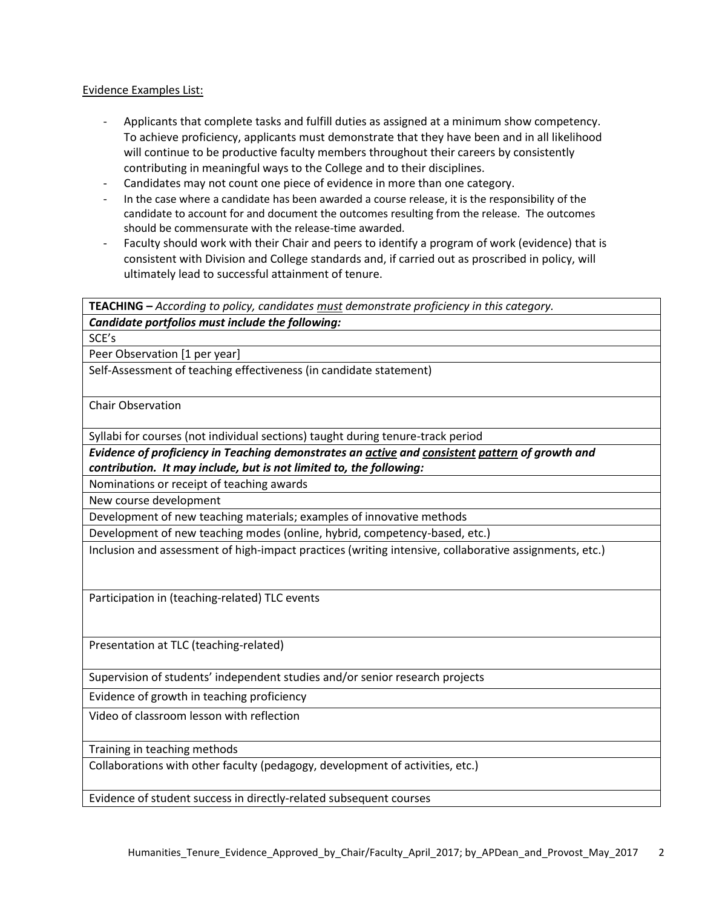#### Evidence Examples List:

- Applicants that complete tasks and fulfill duties as assigned at a minimum show competency. To achieve proficiency, applicants must demonstrate that they have been and in all likelihood will continue to be productive faculty members throughout their careers by consistently contributing in meaningful ways to the College and to their disciplines.
- Candidates may not count one piece of evidence in more than one category.
- In the case where a candidate has been awarded a course release, it is the responsibility of the candidate to account for and document the outcomes resulting from the release. The outcomes should be commensurate with the release-time awarded.
- Faculty should work with their Chair and peers to identify a program of work (evidence) that is consistent with Division and College standards and, if carried out as proscribed in policy, will ultimately lead to successful attainment of tenure.

**TEACHING –** *According to policy, candidates must demonstrate proficiency in this category.*

*Candidate portfolios must include the following:*

SCE's

Peer Observation [1 per year]

Self-Assessment of teaching effectiveness (in candidate statement)

Chair Observation

Syllabi for courses (not individual sections) taught during tenure-track period

*Evidence of proficiency in Teaching demonstrates an active and consistent pattern of growth and contribution. It may include, but is not limited to, the following:*

Nominations or receipt of teaching awards

New course development

Development of new teaching materials; examples of innovative methods

Development of new teaching modes (online, hybrid, competency-based, etc.)

Inclusion and assessment of high-impact practices (writing intensive, collaborative assignments, etc.)

Participation in (teaching-related) TLC events

Presentation at TLC (teaching-related)

Supervision of students' independent studies and/or senior research projects

Evidence of growth in teaching proficiency

Video of classroom lesson with reflection

Training in teaching methods

Collaborations with other faculty (pedagogy, development of activities, etc.)

Evidence of student success in directly-related subsequent courses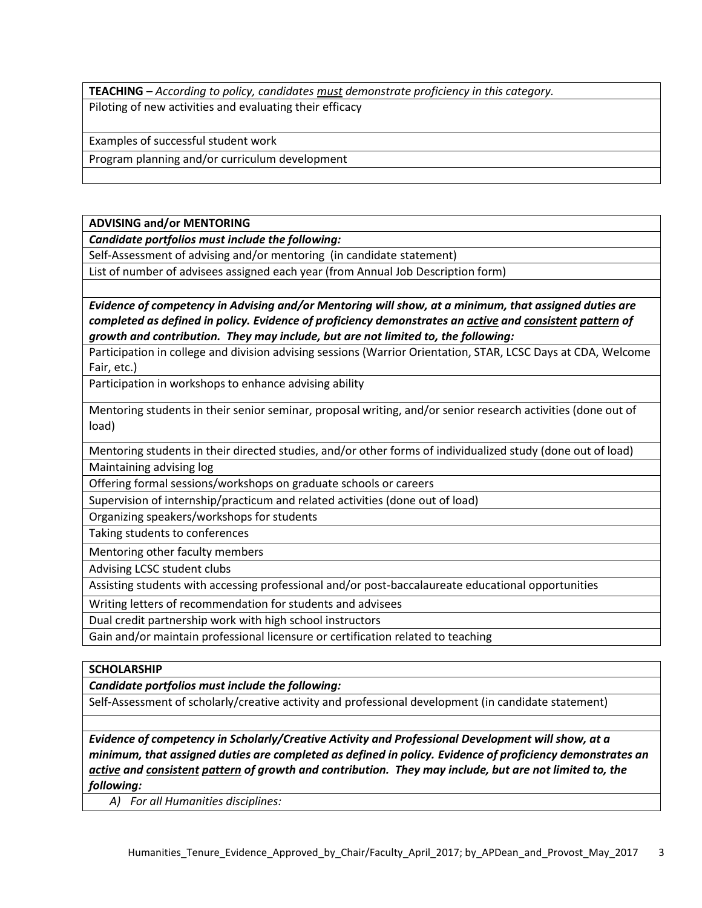**TEACHING –** *According to policy, candidates must demonstrate proficiency in this category.* Piloting of new activities and evaluating their efficacy

Examples of successful student work

Program planning and/or curriculum development

**ADVISING and/or MENTORING**

*Candidate portfolios must include the following:*

Self-Assessment of advising and/or mentoring (in candidate statement)

List of number of advisees assigned each year (from Annual Job Description form)

*Evidence of competency in Advising and/or Mentoring will show, at a minimum, that assigned duties are completed as defined in policy. Evidence of proficiency demonstrates an active and consistent pattern of growth and contribution. They may include, but are not limited to, the following:*

Participation in college and division advising sessions (Warrior Orientation, STAR, LCSC Days at CDA, Welcome Fair, etc.)

Participation in workshops to enhance advising ability

Mentoring students in their senior seminar, proposal writing, and/or senior research activities (done out of load)

Mentoring students in their directed studies, and/or other forms of individualized study (done out of load) Maintaining advising log

Offering formal sessions/workshops on graduate schools or careers

Supervision of internship/practicum and related activities (done out of load)

Organizing speakers/workshops for students

Taking students to conferences

Mentoring other faculty members

Advising LCSC student clubs

Assisting students with accessing professional and/or post-baccalaureate educational opportunities

Writing letters of recommendation for students and advisees

Dual credit partnership work with high school instructors

Gain and/or maintain professional licensure or certification related to teaching

## **SCHOLARSHIP**

*Candidate portfolios must include the following:*

Self-Assessment of scholarly/creative activity and professional development (in candidate statement)

*Evidence of competency in Scholarly/Creative Activity and Professional Development will show, at a minimum, that assigned duties are completed as defined in policy. Evidence of proficiency demonstrates an active and consistent pattern of growth and contribution. They may include, but are not limited to, the following:*

*A) For all Humanities disciplines:*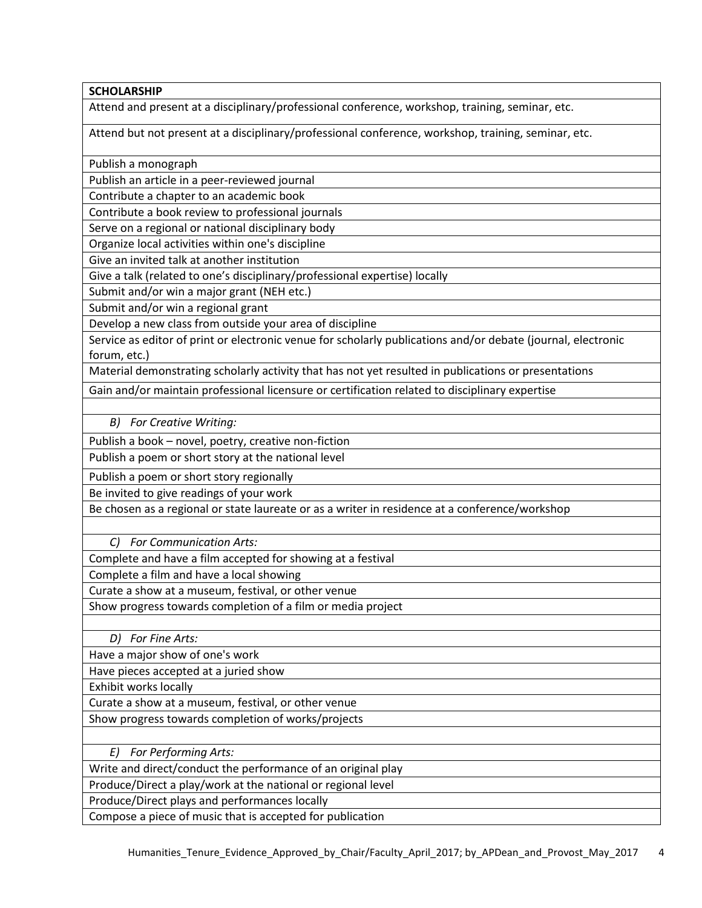## **SCHOLARSHIP**

Attend and present at a disciplinary/professional conference, workshop, training, seminar, etc.

Attend but not present at a disciplinary/professional conference, workshop, training, seminar, etc.

Publish a monograph

Publish an article in a peer-reviewed journal

Contribute a chapter to an academic book

Contribute a book review to professional journals

Serve on a regional or national disciplinary body

Organize local activities within one's discipline

Give an invited talk at another institution

Give a talk (related to one's disciplinary/professional expertise) locally

Submit and/or win a major grant (NEH etc.)

Submit and/or win a regional grant

Develop a new class from outside your area of discipline

Service as editor of print or electronic venue for scholarly publications and/or debate (journal, electronic forum, etc.)

Material demonstrating scholarly activity that has not yet resulted in publications or presentations

Gain and/or maintain professional licensure or certification related to disciplinary expertise

*B) For Creative Writing:*

Publish a book – novel, poetry, creative non-fiction

Publish a poem or short story at the national level

Publish a poem or short story regionally

Be invited to give readings of your work

Be chosen as a regional or state laureate or as a writer in residence at a conference/workshop

*C) For Communication Arts:*

Complete and have a film accepted for showing at a festival

Complete a film and have a local showing

Curate a show at a museum, festival, or other venue

Show progress towards completion of a film or media project

*D) For Fine Arts:*

Have a major show of one's work

Have pieces accepted at a juried show

Exhibit works locally

Curate a show at a museum, festival, or other venue

Show progress towards completion of works/projects

*E) For Performing Arts:*

Write and direct/conduct the performance of an original play

Produce/Direct a play/work at the national or regional level

Produce/Direct plays and performances locally

Compose a piece of music that is accepted for publication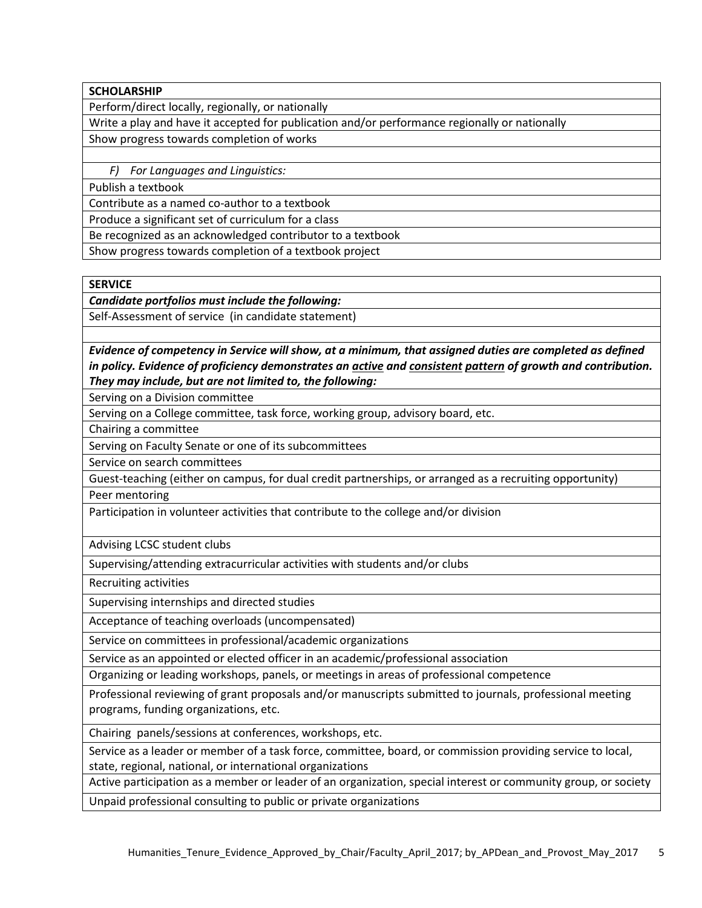**SCHOLARSHIP**

Perform/direct locally, regionally, or nationally

Write a play and have it accepted for publication and/or performance regionally or nationally Show progress towards completion of works

*F) For Languages and Linguistics:*

Publish a textbook

Contribute as a named co-author to a textbook

Produce a significant set of curriculum for a class

Be recognized as an acknowledged contributor to a textbook

Show progress towards completion of a textbook project

**SERVICE**

*Candidate portfolios must include the following:*

Self-Assessment of service (in candidate statement)

*Evidence of competency in Service will show, at a minimum, that assigned duties are completed as defined in policy. Evidence of proficiency demonstrates an active and consistent pattern of growth and contribution. They may include, but are not limited to, the following:*

Serving on a Division committee

Serving on a College committee, task force, working group, advisory board, etc.

Chairing a committee

Serving on Faculty Senate or one of its subcommittees

Service on search committees

Guest-teaching (either on campus, for dual credit partnerships, or arranged as a recruiting opportunity) Peer mentoring

Participation in volunteer activities that contribute to the college and/or division

Advising LCSC student clubs

Supervising/attending extracurricular activities with students and/or clubs

Recruiting activities

Supervising internships and directed studies

Acceptance of teaching overloads (uncompensated)

Service on committees in professional/academic organizations

Service as an appointed or elected officer in an academic/professional association

Organizing or leading workshops, panels, or meetings in areas of professional competence

Professional reviewing of grant proposals and/or manuscripts submitted to journals, professional meeting programs, funding organizations, etc.

Chairing panels/sessions at conferences, workshops, etc.

Service as a leader or member of a task force, committee, board, or commission providing service to local, state, regional, national, or international organizations

Active participation as a member or leader of an organization, special interest or community group, or society Unpaid professional consulting to public or private organizations